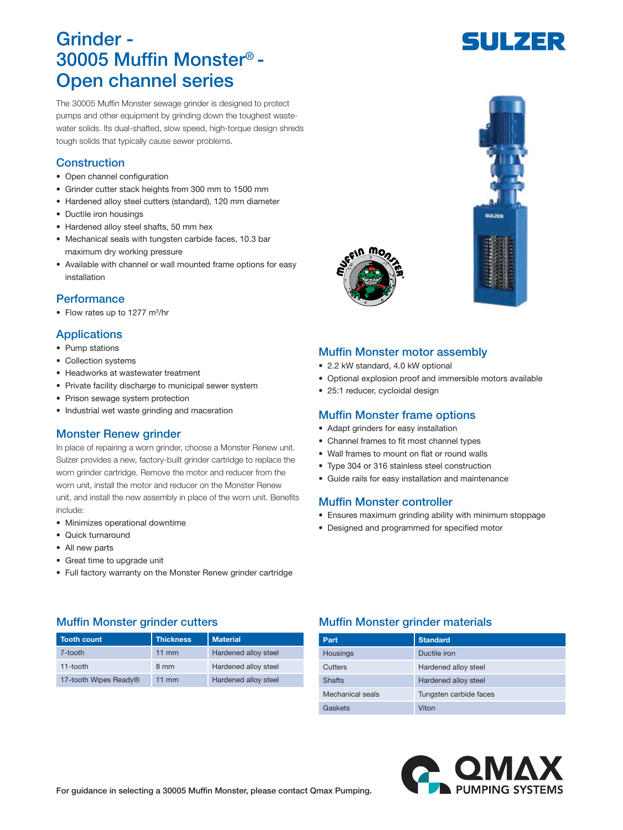# Grinder - 30005 Muffin Monster® - Open channel series

The 30005 Muffin Monster sewage grinder is designed to protect pumps and other equipment by grinding down the toughest wastewater solids. Its dual-shafted, slow speed, high-torque design shreds tough solids that typically cause sewer problems.

# **Construction**

- Open channel configuration
- Grinder cutter stack heights from 300 mm to 1500 mm
- Hardened alloy steel cutters (standard), 120 mm diameter
- Ductile iron housings
- Hardened alloy steel shafts, 50 mm hex
- Mechanical seals with tungsten carbide faces, 10.3 bar maximum dry working pressure
- Available with channel or wall mounted frame options for easy installation

### **Performance**

• Flow rates up to 1277 m<sup>3</sup>/hr

### **Applications**

- Pump stations
- Collection systems
- Headworks at wastewater treatment
- Private facility discharge to municipal sewer system
- Prison sewage system protection
- Industrial wet waste grinding and maceration

### Monster Renew grinder

In place of repairing a worn grinder, choose a Monster Renew unit. Sulzer provides a new, factory-built grinder cartridge to replace the worn grinder cartridge. Remove the motor and reducer from the worn unit, install the motor and reducer on the Monster Renew unit, and install the new assembly in place of the worn unit. Benefits include:

- Minimizes operational downtime
- Quick turnaround
- All new parts
- Great time to upgrade unit
- Full factory warranty on the Monster Renew grinder cartridge





## Muffin Monster motor assembly

- 2.2 kW standard, 4.0 kW optional
- Optional explosion proof and immersible motors available
- 25:1 reducer, cycloidal design

### Muffin Monster frame options

- Adapt grinders for easy installation
- Channel frames to fit most channel types
- Wall frames to mount on flat or round walls
- Type 304 or 316 stainless steel construction
- Guide rails for easy installation and maintenance

### Muffin Monster controller

- Ensures maximum grinding ability with minimum stoppage
- Designed and programmed for specified motor

| <b>Tooth count</b>    | <b>Thickness</b> | <b>Material</b>      |
|-----------------------|------------------|----------------------|
| 7-tooth               | 11 $mm$          | Hardened alloy steel |
| $11$ -tooth           | 8 mm             | Hardened alloy steel |
| 17-tooth Wipes Ready® | $11 \text{ mm}$  | Hardened alloy steel |

### Muffin Monster grinder cutters **Muffin Monster grinder materials**

| Part             | <b>Standard</b>        |
|------------------|------------------------|
| <b>Housings</b>  | Ductile iron           |
| Cutters          | Hardened alloy steel   |
| <b>Shafts</b>    | Hardened alloy steel   |
| Mechanical seals | Tungsten carbide faces |
| Gaskets          | Viton                  |



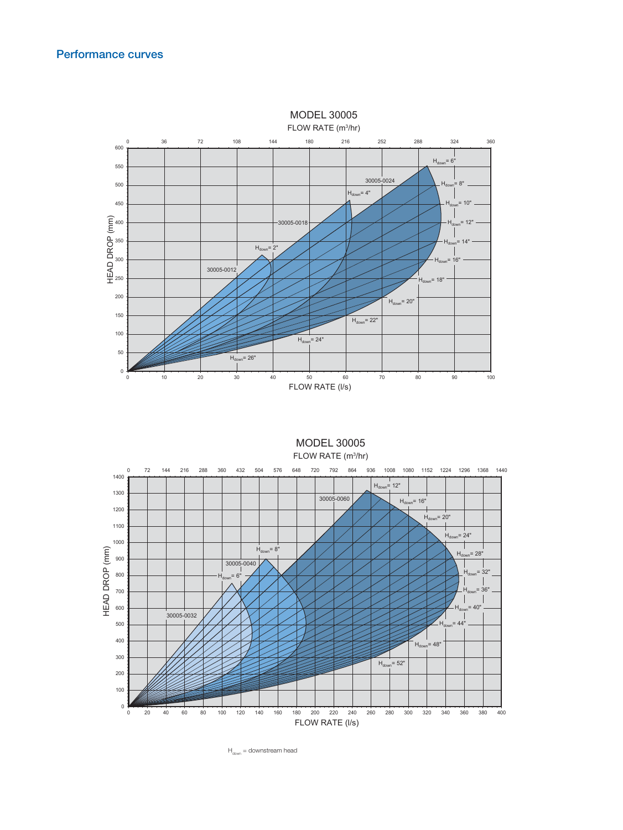### Performance curves



FLOW RATE (m<sup>3</sup>/hr) MODEL 30005



 $H_{down} =$  downstream head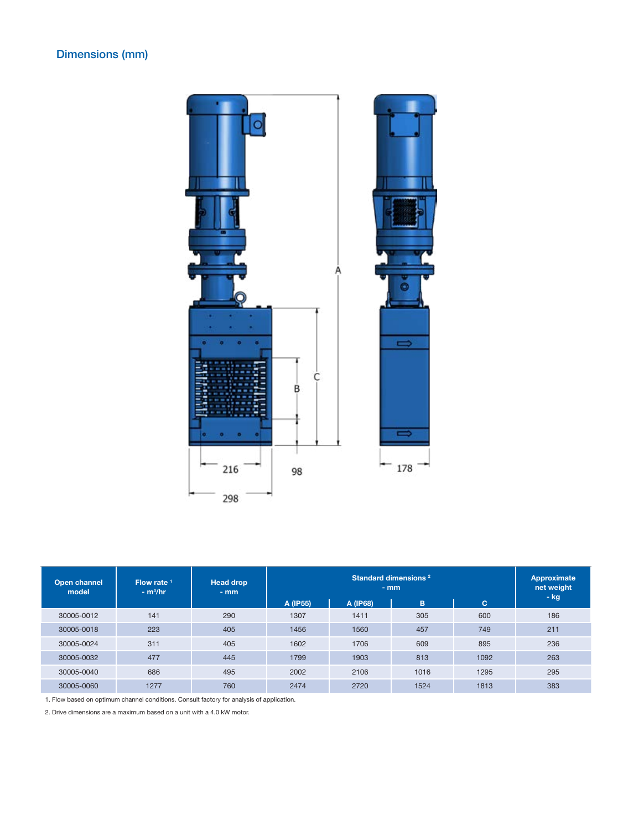# Dimensions (mm)



| Open channel<br>model | Flow rate $1$<br>$- m3/hr$ | <b>Head drop</b><br>$-$ mm |          | Approximate<br>net weight<br>$-$ kg |      |      |     |
|-----------------------|----------------------------|----------------------------|----------|-------------------------------------|------|------|-----|
|                       |                            |                            | A (IP55) | A (IP68)                            | B    | IC.  |     |
| 30005-0012            | 141                        | 290                        | 1307     | 1411                                | 305  | 600  | 186 |
| 30005-0018            | 223                        | 405                        | 1456     | 1560                                | 457  | 749  | 211 |
| 30005-0024            | 311                        | 405                        | 1602     | 1706                                | 609  | 895  | 236 |
| 30005-0032            | 477                        | 445                        | 1799     | 1903                                | 813  | 1092 | 263 |
| 30005-0040            | 686                        | 495                        | 2002     | 2106                                | 1016 | 1295 | 295 |
| 30005-0060            | 1277                       | 760                        | 2474     | 2720                                | 1524 | 1813 | 383 |

1. Flow based on optimum channel conditions. Consult factory for analysis of application.

2. Drive dimensions are a maximum based on a unit with a 4.0 kW motor.